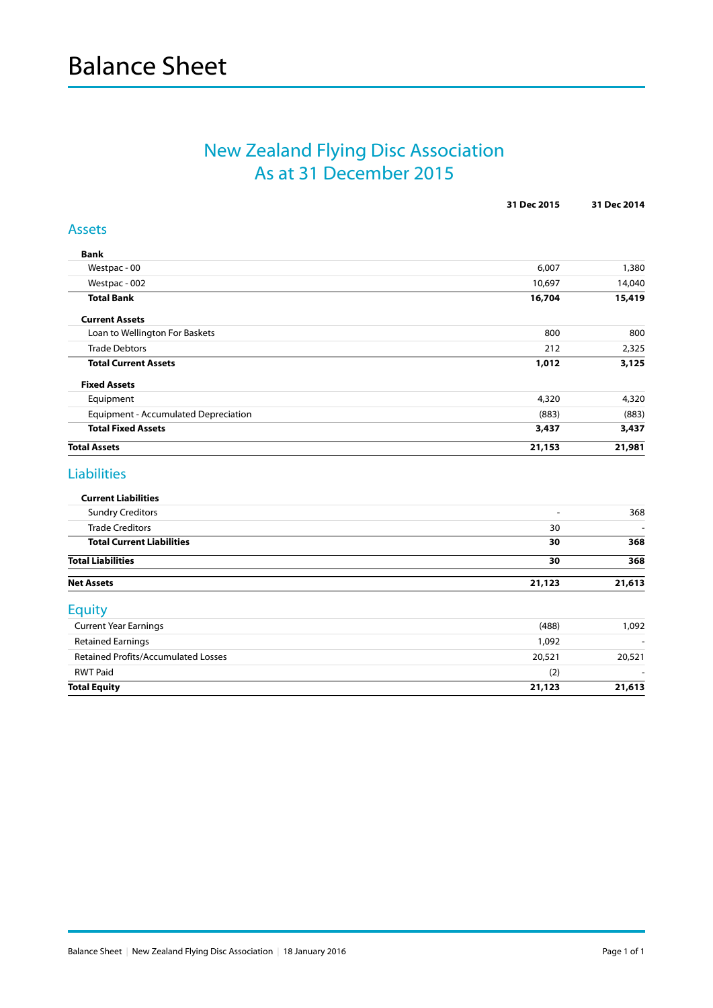## New Zealand Flying Disc Association As at 31 December 2015

|                                             | 31 Dec 2015    | 31 Dec 2014 |
|---------------------------------------------|----------------|-------------|
| <b>Assets</b>                               |                |             |
| <b>Bank</b>                                 |                |             |
| Westpac - 00                                | 6,007          | 1,380       |
| Westpac - 002                               | 10,697         | 14,040      |
| <b>Total Bank</b>                           | 16,704         | 15,419      |
| <b>Current Assets</b>                       |                |             |
| Loan to Wellington For Baskets              | 800            | 800         |
| <b>Trade Debtors</b>                        | 212            | 2,325       |
| <b>Total Current Assets</b>                 | 1,012          | 3,125       |
| <b>Fixed Assets</b>                         |                |             |
| Equipment                                   | 4,320          | 4,320       |
| <b>Equipment - Accumulated Depreciation</b> | (883)          | (883)       |
| <b>Total Fixed Assets</b>                   | 3,437          | 3,437       |
| <b>Total Assets</b>                         | 21,153         | 21,981      |
| <b>Liabilities</b>                          |                |             |
| <b>Current Liabilities</b>                  |                |             |
| <b>Sundry Creditors</b>                     | $\blacksquare$ | 368         |
| <b>Trade Creditors</b>                      | 30             |             |
| <b>Total Current Liabilities</b>            | 30             | 368         |
| <b>Total Liabilities</b>                    | 30             | 368         |
| <b>Net Assets</b>                           | 21,123         | 21,613      |
| <b>Equity</b>                               |                |             |
| <b>Current Year Earnings</b>                | (488)          | 1,092       |
| <b>Retained Earnings</b>                    | 1,092          |             |
| <b>Retained Profits/Accumulated Losses</b>  | 20,521         | 20,521      |
| <b>RWT Paid</b>                             | (2)            |             |
| <b>Total Equity</b>                         | 21,123         | 21,613      |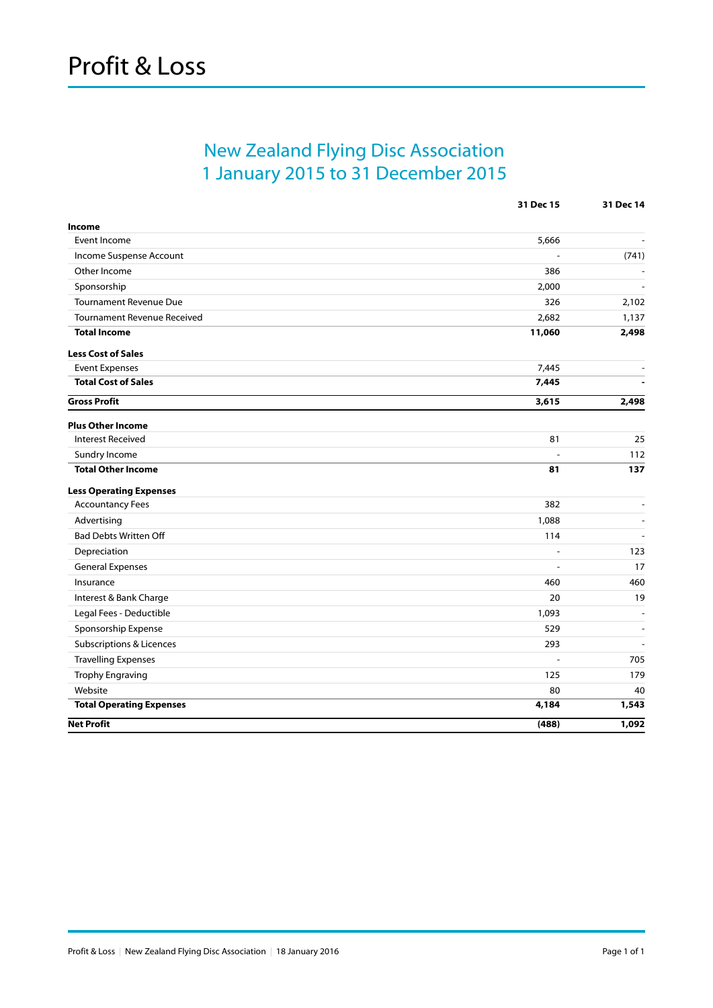## New Zealand Flying Disc Association 1 January 2015 to 31 December 2015

|                                     | 31 Dec 15 | 31 Dec 14                |
|-------------------------------------|-----------|--------------------------|
| Income                              |           |                          |
| Event Income                        | 5,666     |                          |
| Income Suspense Account             |           | (741)                    |
| Other Income                        | 386       |                          |
| Sponsorship                         | 2,000     |                          |
| <b>Tournament Revenue Due</b>       | 326       | 2,102                    |
| <b>Tournament Revenue Received</b>  | 2,682     | 1,137                    |
| <b>Total Income</b>                 | 11,060    | 2,498                    |
| <b>Less Cost of Sales</b>           |           |                          |
| <b>Event Expenses</b>               | 7,445     | $\overline{\phantom{a}}$ |
| <b>Total Cost of Sales</b>          | 7,445     |                          |
| <b>Gross Profit</b>                 | 3,615     | 2,498                    |
| <b>Plus Other Income</b>            |           |                          |
| <b>Interest Received</b>            | 81        | 25                       |
| Sundry Income                       |           | 112                      |
| <b>Total Other Income</b>           | 81        | 137                      |
| <b>Less Operating Expenses</b>      |           |                          |
| <b>Accountancy Fees</b>             | 382       | $\blacksquare$           |
| Advertising                         | 1,088     | $\blacksquare$           |
| <b>Bad Debts Written Off</b>        | 114       |                          |
| Depreciation                        | ÷         | 123                      |
| <b>General Expenses</b>             |           | 17                       |
| Insurance                           | 460       | 460                      |
| Interest & Bank Charge              | 20        | 19                       |
| Legal Fees - Deductible             | 1,093     | $\overline{a}$           |
| Sponsorship Expense                 | 529       | $\overline{a}$           |
| <b>Subscriptions &amp; Licences</b> | 293       |                          |
| <b>Travelling Expenses</b>          | L,        | 705                      |
| Trophy Engraving                    | 125       | 179                      |
| Website                             | 80        | 40                       |
| <b>Total Operating Expenses</b>     | 4,184     | 1,543                    |
| <b>Net Profit</b>                   | (488)     | 1,092                    |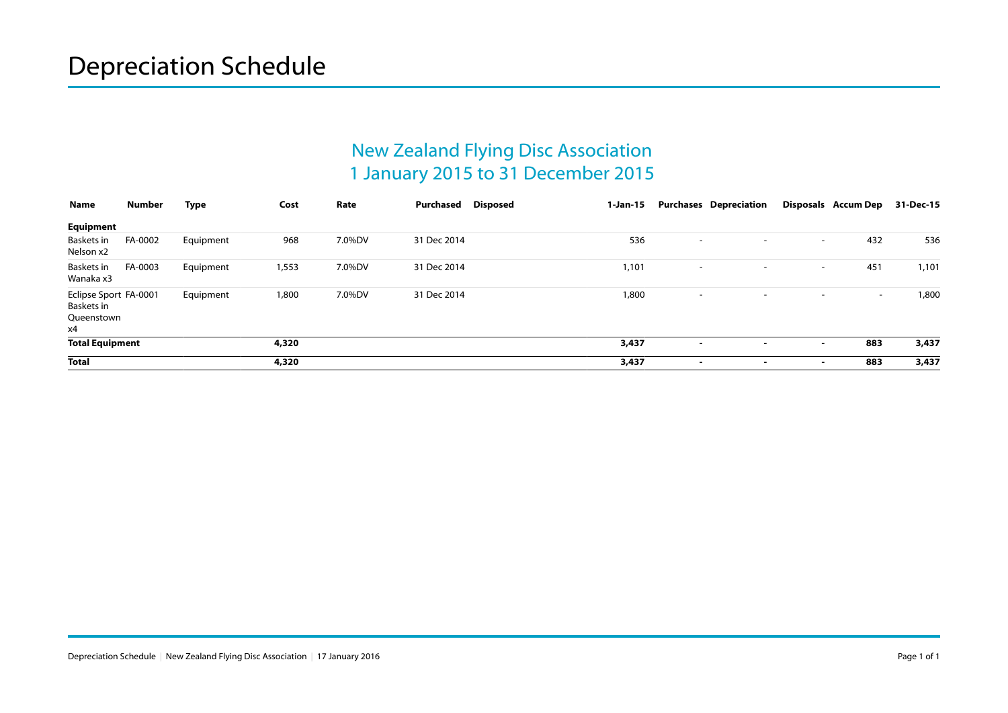## New Zealand Flying Disc Association 1 January 2015 to 31 December 2015

| Name                                                    | Number  | Type      | Cost  | Rate   | <b>Disposed</b><br>Purchased | 1-Jan-15 |                          | <b>Purchases Depreciation</b> |                          | Disposals Accum Dep | 31-Dec-15 |
|---------------------------------------------------------|---------|-----------|-------|--------|------------------------------|----------|--------------------------|-------------------------------|--------------------------|---------------------|-----------|
| Equipment                                               |         |           |       |        |                              |          |                          |                               |                          |                     |           |
| Baskets in<br>Nelson x2                                 | FA-0002 | Equipment | 968   | 7.0%DV | 31 Dec 2014                  | 536      | $\overline{\phantom{a}}$ | $\sim$                        | $\sim$                   | 432                 | 536       |
| Baskets in<br>Wanaka x3                                 | FA-0003 | Equipment | 1,553 | 7.0%DV | 31 Dec 2014                  | 1,101    | $\overline{\phantom{a}}$ | $\overline{\phantom{a}}$      | $\sim$                   | 451                 | 1,101     |
| Eclipse Sport FA-0001<br>Baskets in<br>Queenstown<br>х4 |         | Equipment | 1,800 | 7.0%DV | 31 Dec 2014                  | 1,800    | $\overline{\phantom{a}}$ | $\overline{\phantom{a}}$      | $\sim$                   | $\sim$              | 1,800     |
| <b>Total Equipment</b>                                  |         |           | 4,320 |        |                              | 3,437    | $\overline{\phantom{a}}$ | $\sim$                        | $\sim$                   | 883                 | 3,437     |
| <b>Total</b>                                            |         |           | 4,320 |        |                              | 3,437    | $\overline{\phantom{a}}$ | $\overline{\phantom{a}}$      | $\overline{\phantom{a}}$ | 883                 | 3,437     |